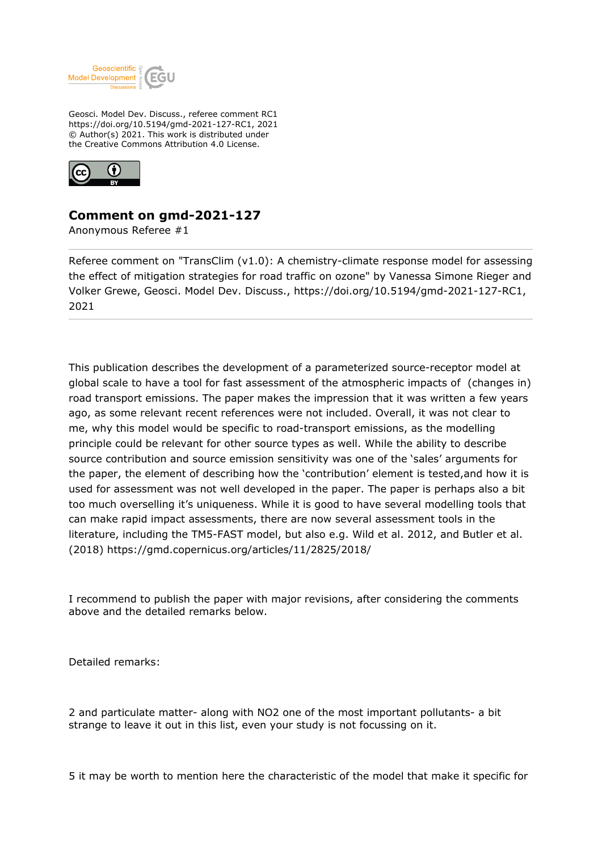

Geosci. Model Dev. Discuss., referee comment RC1 https://doi.org/10.5194/gmd-2021-127-RC1, 2021 © Author(s) 2021. This work is distributed under the Creative Commons Attribution 4.0 License.



## **Comment on gmd-2021-127**

Anonymous Referee #1

Referee comment on "TransClim (v1.0): A chemistry-climate response model for assessing the effect of mitigation strategies for road traffic on ozone" by Vanessa Simone Rieger and Volker Grewe, Geosci. Model Dev. Discuss., https://doi.org/10.5194/gmd-2021-127-RC1, 2021

This publication describes the development of a parameterized source-receptor model at global scale to have a tool for fast assessment of the atmospheric impacts of (changes in) road transport emissions. The paper makes the impression that it was written a few years ago, as some relevant recent references were not included. Overall, it was not clear to me, why this model would be specific to road-transport emissions, as the modelling principle could be relevant for other source types as well. While the ability to describe source contribution and source emission sensitivity was one of the 'sales' arguments for the paper, the element of describing how the 'contribution' element is tested,and how it is used for assessment was not well developed in the paper. The paper is perhaps also a bit too much overselling it's uniqueness. While it is good to have several modelling tools that can make rapid impact assessments, there are now several assessment tools in the literature, including the TM5-FAST model, but also e.g. Wild et al. 2012, and Butler et al. (2018) https://gmd.copernicus.org/articles/11/2825/2018/

I recommend to publish the paper with major revisions, after considering the comments above and the detailed remarks below.

Detailed remarks:

2 and particulate matter- along with NO2 one of the most important pollutants- a bit strange to leave it out in this list, even your study is not focussing on it.

5 it may be worth to mention here the characteristic of the model that make it specific for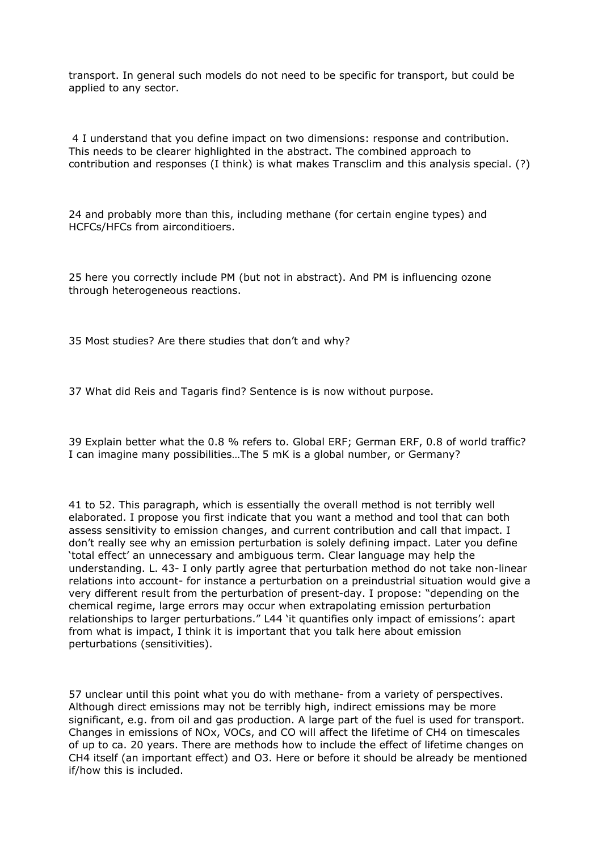transport. In general such models do not need to be specific for transport, but could be applied to any sector.

 4 I understand that you define impact on two dimensions: response and contribution. This needs to be clearer highlighted in the abstract. The combined approach to contribution and responses (I think) is what makes Transclim and this analysis special. (?)

24 and probably more than this, including methane (for certain engine types) and HCFCs/HFCs from airconditioers.

25 here you correctly include PM (but not in abstract). And PM is influencing ozone through heterogeneous reactions.

35 Most studies? Are there studies that don't and why?

37 What did Reis and Tagaris find? Sentence is is now without purpose.

39 Explain better what the 0.8 % refers to. Global ERF; German ERF, 0.8 of world traffic? I can imagine many possibilities…The 5 mK is a global number, or Germany?

41 to 52. This paragraph, which is essentially the overall method is not terribly well elaborated. I propose you first indicate that you want a method and tool that can both assess sensitivity to emission changes, and current contribution and call that impact. I don't really see why an emission perturbation is solely defining impact. Later you define 'total effect' an unnecessary and ambiguous term. Clear language may help the understanding. L. 43- I only partly agree that perturbation method do not take non-linear relations into account- for instance a perturbation on a preindustrial situation would give a very different result from the perturbation of present-day. I propose: "depending on the chemical regime, large errors may occur when extrapolating emission perturbation relationships to larger perturbations." L44 'it quantifies only impact of emissions': apart from what is impact, I think it is important that you talk here about emission perturbations (sensitivities).

57 unclear until this point what you do with methane- from a variety of perspectives. Although direct emissions may not be terribly high, indirect emissions may be more significant, e.g. from oil and gas production. A large part of the fuel is used for transport. Changes in emissions of NOx, VOCs, and CO will affect the lifetime of CH4 on timescales of up to ca. 20 years. There are methods how to include the effect of lifetime changes on CH4 itself (an important effect) and O3. Here or before it should be already be mentioned if/how this is included.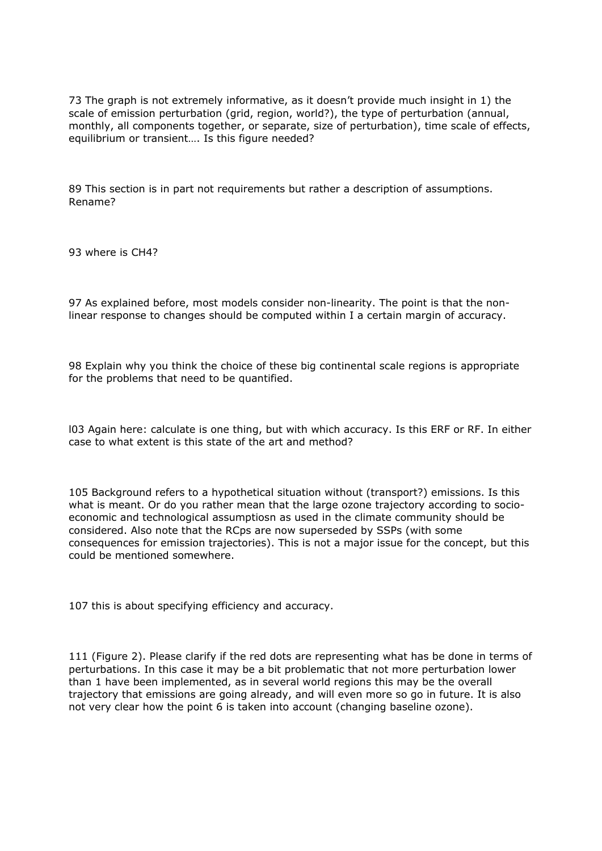73 The graph is not extremely informative, as it doesn't provide much insight in 1) the scale of emission perturbation (grid, region, world?), the type of perturbation (annual, monthly, all components together, or separate, size of perturbation), time scale of effects, equilibrium or transient…. Is this figure needed?

89 This section is in part not requirements but rather a description of assumptions. Rename?

93 where is CH4?

97 As explained before, most models consider non-linearity. The point is that the nonlinear response to changes should be computed within I a certain margin of accuracy.

98 Explain why you think the choice of these big continental scale regions is appropriate for the problems that need to be quantified.

l03 Again here: calculate is one thing, but with which accuracy. Is this ERF or RF. In either case to what extent is this state of the art and method?

105 Background refers to a hypothetical situation without (transport?) emissions. Is this what is meant. Or do you rather mean that the large ozone trajectory according to socioeconomic and technological assumptiosn as used in the climate community should be considered. Also note that the RCps are now superseded by SSPs (with some consequences for emission trajectories). This is not a major issue for the concept, but this could be mentioned somewhere.

107 this is about specifying efficiency and accuracy.

111 (Figure 2). Please clarify if the red dots are representing what has be done in terms of perturbations. In this case it may be a bit problematic that not more perturbation lower than 1 have been implemented, as in several world regions this may be the overall trajectory that emissions are going already, and will even more so go in future. It is also not very clear how the point 6 is taken into account (changing baseline ozone).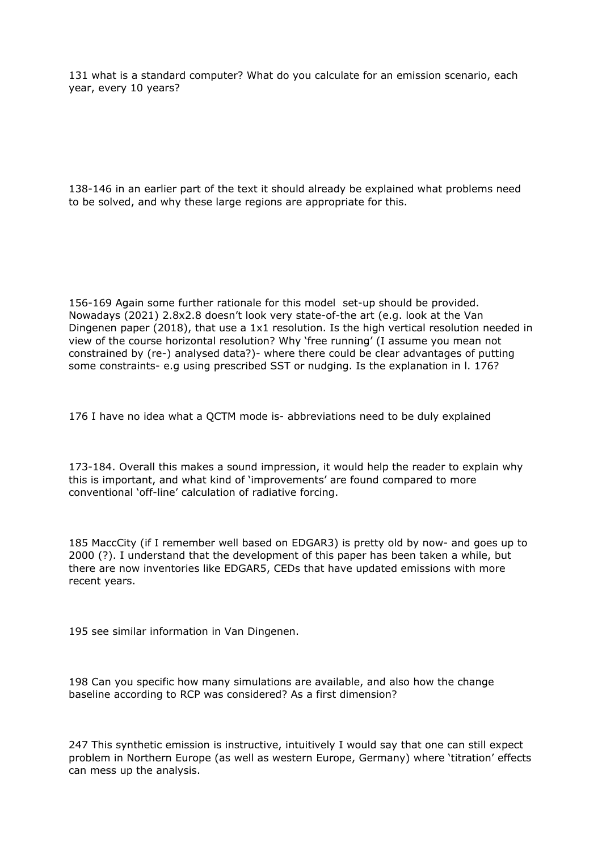131 what is a standard computer? What do you calculate for an emission scenario, each year, every 10 years?

138-146 in an earlier part of the text it should already be explained what problems need to be solved, and why these large regions are appropriate for this.

156-169 Again some further rationale for this model set-up should be provided. Nowadays (2021) 2.8x2.8 doesn't look very state-of-the art (e.g. look at the Van Dingenen paper (2018), that use a 1x1 resolution. Is the high vertical resolution needed in view of the course horizontal resolution? Why 'free running' (I assume you mean not constrained by (re-) analysed data?)- where there could be clear advantages of putting some constraints- e.g using prescribed SST or nudging. Is the explanation in l. 176?

176 I have no idea what a QCTM mode is- abbreviations need to be duly explained

173-184. Overall this makes a sound impression, it would help the reader to explain why this is important, and what kind of 'improvements' are found compared to more conventional 'off-line' calculation of radiative forcing.

185 MaccCity (if I remember well based on EDGAR3) is pretty old by now- and goes up to 2000 (?). I understand that the development of this paper has been taken a while, but there are now inventories like EDGAR5, CEDs that have updated emissions with more recent years.

195 see similar information in Van Dingenen.

198 Can you specific how many simulations are available, and also how the change baseline according to RCP was considered? As a first dimension?

247 This synthetic emission is instructive, intuitively I would say that one can still expect problem in Northern Europe (as well as western Europe, Germany) where 'titration' effects can mess up the analysis.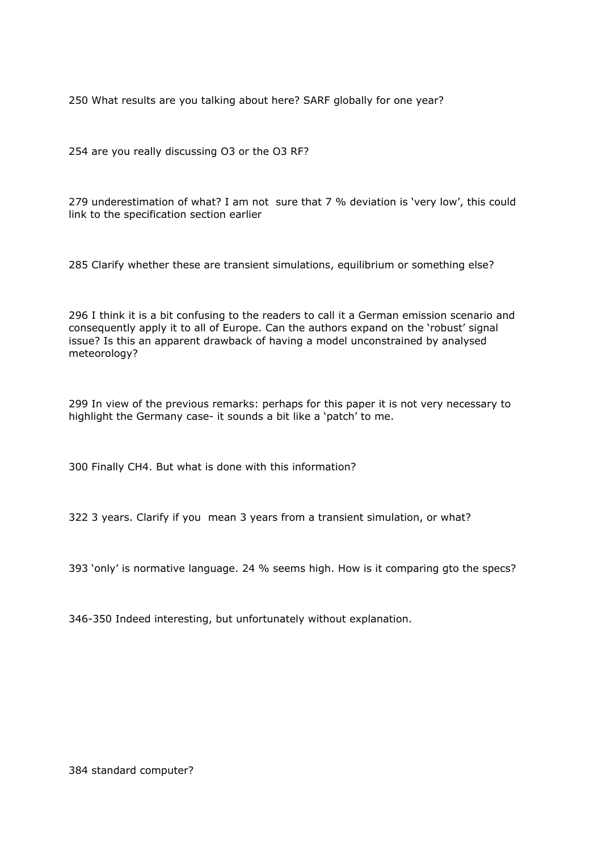250 What results are you talking about here? SARF globally for one year?

254 are you really discussing O3 or the O3 RF?

279 underestimation of what? I am not sure that 7 % deviation is 'very low', this could link to the specification section earlier

285 Clarify whether these are transient simulations, equilibrium or something else?

296 I think it is a bit confusing to the readers to call it a German emission scenario and consequently apply it to all of Europe. Can the authors expand on the 'robust' signal issue? Is this an apparent drawback of having a model unconstrained by analysed meteorology?

299 In view of the previous remarks: perhaps for this paper it is not very necessary to highlight the Germany case- it sounds a bit like a 'patch' to me.

300 Finally CH4. But what is done with this information?

322 3 years. Clarify if you mean 3 years from a transient simulation, or what?

393 'only' is normative language. 24 % seems high. How is it comparing gto the specs?

346-350 Indeed interesting, but unfortunately without explanation.

384 standard computer?